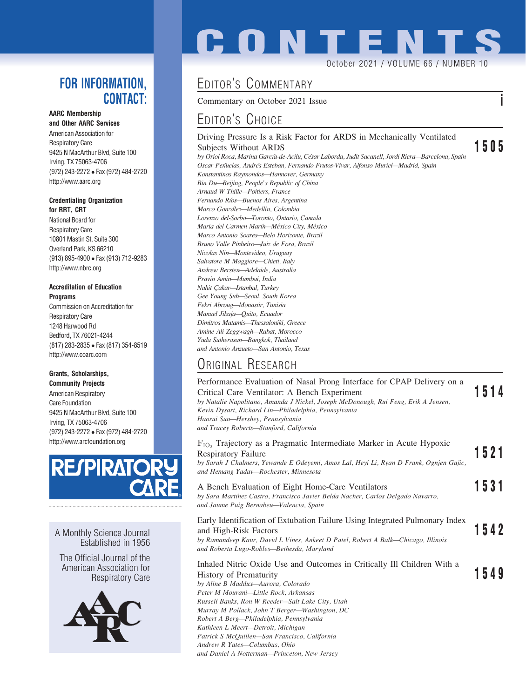### FOR INFORMATION. CONTACT:

AARC Membership and Other AARC Services

American Association for Respiratory Care 9425 N MacArthur Blvd, Suite 100 Irving, TX 75063-4706 (972) 243-2272 Fax (972) 484-2720 http://www.aarc.org

#### Credentialing Organization for RRT, CRT

National Board for Respiratory Care 10801 Mastin St, Suite 300 Overland Park, KS 66210 (913) 895-4900 Fax (913) 712-9283 http://www.nbrc.org

#### Accreditation of Education Programs

Commission on Accreditation for Respiratory Care 1248 Harwood Rd Bedford, TX 76021-4244 (817) 283-2835 Fax (817) 354-8519 http://www.coarc.com

#### Grants, Scholarships,

Community Projects American Respiratory Care Foundation 9425 N MacArthur Blvd, Suite 100 Irving, TX 75063-4706 (972) 243-2272 Fax (972) 484-2720 http://www.arcfoundation.org



A Monthly Science Journal Established in 1956

The Official Journal of the American Association for Respiratory Care



# **CONTENT**

October 2021 / VOLUME 66 / NUMBER

## EDITOR'S COMMENTARY

Commentary on October 2021 Issue i

## EDITOR'S CHOICE

## Driving Pressure Is a Risk Factor for ARDS in Mechanically Ventilated

Subjects Without ARDS<br>by Oriol Roca, Marina García-de-Acilu, César Laborda, Judit Sacanell, Jordi Riera—Barcelona, Spain Oscar Peñuelas, Andrés Esteban, Fernando Frutos-Vivar, Alfonso Muriel-Madrid, Spain Konstantinos Raymondos—Hannover, Germany Bin Du—Beijing, People's Republic of China Arnaud W Thille—Poitiers, France Fernando Rı´os—Buenos Aires, Argentina Marco González-Medellín, Colombia Lorenzo del-Sorbo—Toronto, Ontario, Canada Maria del Carmen Marín-México City, México Marco Antonio Soares—Belo Horizonte, Brazil Bruno Valle Pinheiro—Juiz de Fora, Brazil Nicolas Nin—Montevideo, Uruguay Salvatore M Maggiore—Chieti, Italy Andrew Bersten—Adelaide, Australia Pravin Amin—Mumbai, India Nahit Çakar-Istanbul, Turkey Gee Young Suh—Seoul, South Korea Fekri Abroug—Monastir, Tunisia Manuel Jibaja—Quito, Ecuador Dimitros Matamis—Thessaloniki, Greece Amine Ali Zeggwagh—Rabat, Morocco Yuda Sutherasan—Bangkok, Thailand and Antonio Anzueto—San Antonio, Texas

## ORIGINAL RESEARCH

#### Performance Evaluation of Nasal Prong Interface for CPAP Delivery on a Critical Care Ventilator: A Bench Experiment 1514 by Natalie Napolitano, Amanda J Nickel, Joseph McDonough, Rui Feng, Erik A Jensen, Kevin Dysart, Richard Lin—Philadelphia, Pennsylvania Haorui Sun—Hershey, Pennsylvania and Tracey Roberts—Stanford, California  $F_{IO_2}$  Trajectory as a Pragmatic Intermediate Marker in Acute Hypoxic Respiratory Failure

Respiratory Failure<br>by Sarah J Chalmers, Yewande E Odeyemi, Amos Lal, Heyi Li, Ryan D Frank, Ognjen Gajic, and Hemang Yadav—Rochester, Minnesota A Bench Evaluation of Eight Home-Care Ventilators 1531 by Sara Martínez Castro, Francisco Javier Belda Nacher, Carlos Delgado Navarro, and Jaume Puig Bernabeu—Valencia, Spain Early Identification of Extubation Failure Using Integrated Pulmonary Index and High-Risk Factors **1542** by Ramandeep Kaur, David L Vines, Ankeet D Patel, Robert A Balk—Chicago, Illinois and Roberta Lugo-Robles—Bethesda, Maryland Inhaled Nitric Oxide Use and Outcomes in Critically Ill Children With a History of Prematurity 1549 by Aline B Maddux—Aurora, Colorado Peter M Mourani—Little Rock, Arkansas Russell Banks, Ron W Reeder—Salt Lake City, Utah Murray M Pollack, John T Berger—Washington, DC Robert A Berg—Philadelphia, Pennsylvania Kathleen L Meert—Detroit, Michigan Patrick S McQuillen—San Francisco, California Andrew R Yates—Columbus, Ohio and Daniel A Notterman—Princeton, New Jersey